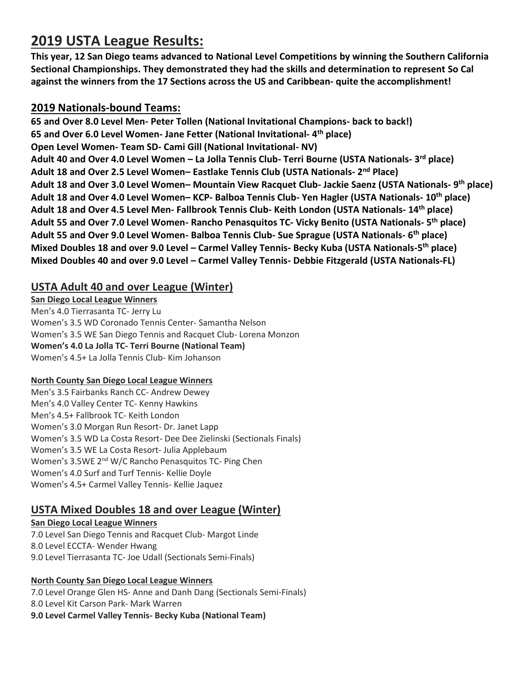# **2019 USTA League Results:**

**This year, 12 San Diego teams advanced to National Level Competitions by winning the Southern California Sectional Championships. They demonstrated they had the skills and determination to represent So Cal against the winners from the 17 Sections across the US and Caribbean- quite the accomplishment!** 

### **2019 Nationals-bound Teams:**

**65 and Over 8.0 Level Men- Peter Tollen (National Invitational Champions- back to back!) 65 and Over 6.0 Level Women- Jane Fetter (National Invitational- 4 th place) Open Level Women- Team SD- Cami Gill (National Invitational- NV) Adult 40 and Over 4.0 Level Women – La Jolla Tennis Club- Terri Bourne (USTA Nationals- 3 rd place) Adult 18 and Over 2.5 Level Women– Eastlake Tennis Club (USTA Nationals- 2 nd Place) Adult 18 and Over 3.0 Level Women– Mountain View Racquet Club- Jackie Saenz (USTA Nationals- 9 th place) Adult 18 and Over 4.0 Level Women– KCP- Balboa Tennis Club- Yen Hagler (USTA Nationals- 10th place) Adult 18 and Over 4.5 Level Men- Fallbrook Tennis Club- Keith London (USTA Nationals- 14th place) Adult 55 and Over 7.0 Level Women- Rancho Penasquitos TC- Vicky Benito (USTA Nationals- 5 th place) Adult 55 and Over 9.0 Level Women- Balboa Tennis Club- Sue Sprague (USTA Nationals- 6 th place) Mixed Doubles 18 and over 9.0 Level – Carmel Valley Tennis- Becky Kuba (USTA Nationals-5 th place) Mixed Doubles 40 and over 9.0 Level – Carmel Valley Tennis- Debbie Fitzgerald (USTA Nationals-FL)**

### **USTA Adult 40 and over League (Winter)**

**San Diego Local League Winners** Men's 4.0 Tierrasanta TC- Jerry Lu Women's 3.5 WD Coronado Tennis Center- Samantha Nelson Women's 3.5 WE San Diego Tennis and Racquet Club- Lorena Monzon **Women's 4.0 La Jolla TC- Terri Bourne (National Team)** Women's 4.5+ La Jolla Tennis Club- Kim Johanson

#### **North County San Diego Local League Winners**

Men's 3.5 Fairbanks Ranch CC- Andrew Dewey Men's 4.0 Valley Center TC- Kenny Hawkins Men's 4.5+ Fallbrook TC- Keith London Women's 3.0 Morgan Run Resort- Dr. Janet Lapp Women's 3.5 WD La Costa Resort- Dee Dee Zielinski (Sectionals Finals) Women's 3.5 WE La Costa Resort- Julia Applebaum Women's 3.5WE 2<sup>nd</sup> W/C Rancho Penasquitos TC- Ping Chen Women's 4.0 Surf and Turf Tennis- Kellie Doyle Women's 4.5+ Carmel Valley Tennis- Kellie Jaquez

### **USTA Mixed Doubles 18 and over League (Winter)**

#### **San Diego Local League Winners** 7.0 Level San Diego Tennis and Racquet Club- Margot Linde 8.0 Level ECCTA- Wender Hwang 9.0 Level Tierrasanta TC- Joe Udall (Sectionals Semi-Finals)

#### **North County San Diego Local League Winners**

7.0 Level Orange Glen HS- Anne and Danh Dang (Sectionals Semi-Finals)

8.0 Level Kit Carson Park- Mark Warren

**9.0 Level Carmel Valley Tennis- Becky Kuba (National Team)**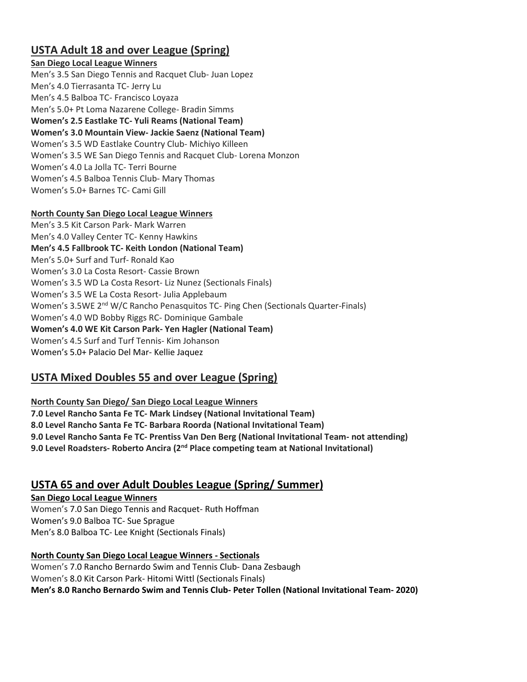# **USTA Adult 18 and over League (Spring)**

#### **San Diego Local League Winners**

Men's 3.5 San Diego Tennis and Racquet Club- Juan Lopez Men's 4.0 Tierrasanta TC- Jerry Lu Men's 4.5 Balboa TC- Francisco Loyaza Men's 5.0+ Pt Loma Nazarene College- Bradin Simms **Women's 2.5 Eastlake TC- Yuli Reams (National Team) Women's 3.0 Mountain View- Jackie Saenz (National Team)** Women's 3.5 WD Eastlake Country Club- Michiyo Killeen Women's 3.5 WE San Diego Tennis and Racquet Club- Lorena Monzon Women's 4.0 La Jolla TC- Terri Bourne Women's 4.5 Balboa Tennis Club- Mary Thomas Women's 5.0+ Barnes TC- Cami Gill

#### **North County San Diego Local League Winners**

Men's 3.5 Kit Carson Park- Mark Warren Men's 4.0 Valley Center TC- Kenny Hawkins **Men's 4.5 Fallbrook TC- Keith London (National Team)** Men's 5.0+ Surf and Turf- Ronald Kao Women's 3.0 La Costa Resort- Cassie Brown Women's 3.5 WD La Costa Resort- Liz Nunez (Sectionals Finals) Women's 3.5 WE La Costa Resort- Julia Applebaum Women's 3.5WE 2<sup>nd</sup> W/C Rancho Penasquitos TC- Ping Chen (Sectionals Quarter-Finals) Women's 4.0 WD Bobby Riggs RC- Dominique Gambale **Women's 4.0 WE Kit Carson Park- Yen Hagler (National Team)** Women's 4.5 Surf and Turf Tennis- Kim Johanson Women's 5.0+ Palacio Del Mar- Kellie Jaquez

# **USTA Mixed Doubles 55 and over League (Spring)**

**North County San Diego/ San Diego Local League Winners 7.0 Level Rancho Santa Fe TC- Mark Lindsey (National Invitational Team) 8.0 Level Rancho Santa Fe TC- Barbara Roorda (National Invitational Team) 9.0 Level Rancho Santa Fe TC- Prentiss Van Den Berg (National Invitational Team- not attending) 9.0 Level Roadsters- Roberto Ancira (2nd Place competing team at National Invitational)**

# **USTA 65 and over Adult Doubles League (Spring/ Summer)**

**San Diego Local League Winners** Women's 7.0 San Diego Tennis and Racquet- Ruth Hoffman Women's 9.0 Balboa TC- Sue Sprague Men's 8.0 Balboa TC- Lee Knight (Sectionals Finals)

**North County San Diego Local League Winners - Sectionals** Women's 7.0 Rancho Bernardo Swim and Tennis Club- Dana Zesbaugh Women's 8.0 Kit Carson Park- Hitomi Wittl (Sectionals Finals) **Men's 8.0 Rancho Bernardo Swim and Tennis Club- Peter Tollen (National Invitational Team- 2020)**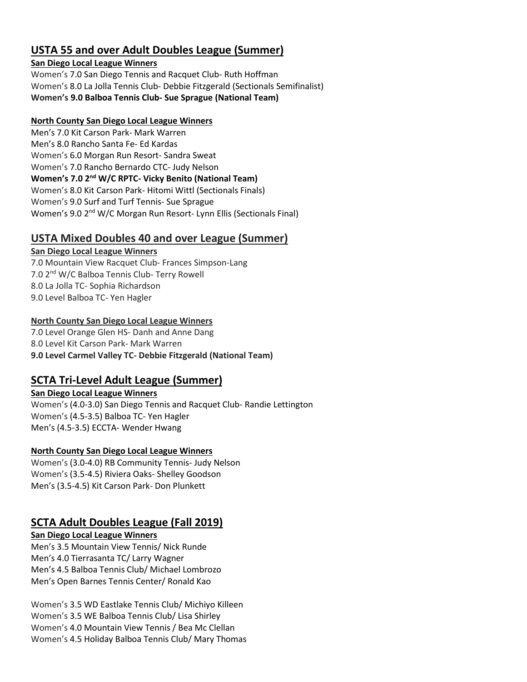### **USTA 55 and over Adult Doubles League (Summer)**

#### **San Diego Local League Winners**

Women's 7.0 San Diego Tennis and Racquet Club- Ruth Hoffman Women's 8.0 La Jolla Tennis Club- Debbie Fitzgerald (Sectionals Semifinalist) **Women's 9.0 Balboa Tennis Club- Sue Sprague (National Team)**

#### **North County San Diego Local League Winners**

Men's 7.0 Kit Carson Park- Mark Warren Men's 8.0 Rancho Santa Fe- Ed Kardas Women's 6.0 Morgan Run Resort- Sandra Sweat Women's 7.0 Rancho Bernardo CTC- Judy Nelson **Women's 7.0 2 nd W/C RPTC- Vicky Benito (National Team)** Women's 8.0 Kit Carson Park- Hitomi Wittl (Sectionals Finals) Women's 9.0 Surf and Turf Tennis- Sue Sprague Women's 9.0 2<sup>nd</sup> W/C Morgan Run Resort- Lynn Ellis (Sectionals Final)

# **USTA Mixed Doubles 40 and over League (Summer)**

**San Diego Local League Winners** 7.0 Mountain View Racquet Club- Frances Simpson-Lang 7.0 2nd W/C Balboa Tennis Club- Terry Rowell 8.0 La Jolla TC- Sophia Richardson 9.0 Level Balboa TC- Yen Hagler

#### **North County San Diego Local League Winners**

7.0 Level Orange Glen HS- Danh and Anne Dang 8.0 Level Kit Carson Park- Mark Warren **9.0 Level Carmel Valley TC- Debbie Fitzgerald (National Team)**

# **SCTA Tri-Level Adult League (Summer)**

**San Diego Local League Winners** Women's (4.0-3.0) San Diego Tennis and Racquet Club- Randie Lettington Women's (4.5-3.5) Balboa TC- Yen Hagler Men's (4.5-3.5) ECCTA- Wender Hwang

#### **North County San Diego Local League Winners**

Women's (3.0-4.0) RB Community Tennis- Judy Nelson Women's (3.5-4.5) Riviera Oaks- Shelley Goodson Men's (3.5-4.5) Kit Carson Park- Don Plunkett

# **SCTA Adult Doubles League (Fall 2019)**

#### **San Diego Local League Winners**

Men's 3.5 Mountain View Tennis/ Nick Runde Men's 4.0 Tierrasanta TC/ Larry Wagner Men's 4.5 Balboa Tennis Club/ Michael Lombrozo Men's Open Barnes Tennis Center/ Ronald Kao

Women's 3.5 WD Eastlake Tennis Club/ Michiyo Killeen Women's 3.5 WE Balboa Tennis Club/ Lisa Shirley Women's 4.0 Mountain View Tennis / Bea Mc Clellan Women's 4.5 Holiday Balboa Tennis Club/ Mary Thomas